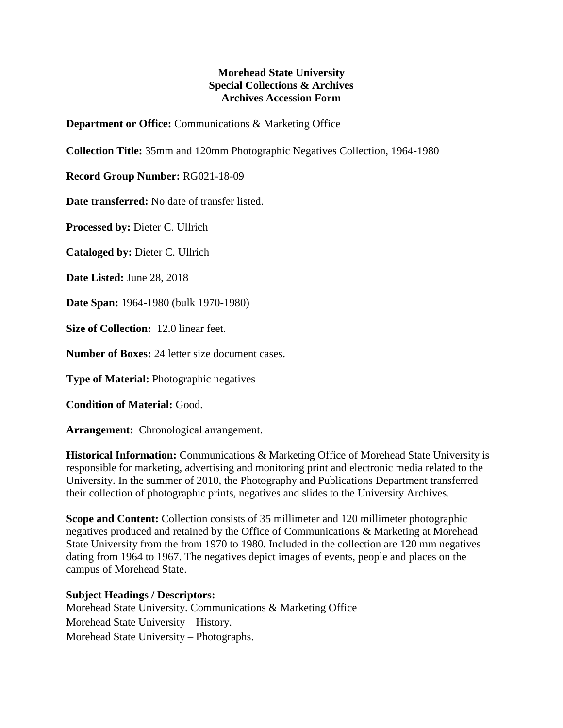## **Morehead State University Special Collections & Archives Archives Accession Form**

**Department or Office:** Communications & Marketing Office

**Collection Title:** 35mm and 120mm Photographic Negatives Collection, 1964-1980

**Record Group Number:** RG021-18-09

**Date transferred:** No date of transfer listed.

**Processed by:** Dieter C. Ullrich

**Cataloged by:** Dieter C. Ullrich

**Date Listed:** June 28, 2018

**Date Span:** 1964-1980 (bulk 1970-1980)

**Size of Collection:** 12.0 linear feet.

**Number of Boxes:** 24 letter size document cases.

**Type of Material:** Photographic negatives

**Condition of Material:** Good.

**Arrangement:** Chronological arrangement.

**Historical Information:** Communications & Marketing Office of Morehead State University is responsible for marketing, advertising and monitoring print and electronic media related to the University. In the summer of 2010, the Photography and Publications Department transferred their collection of photographic prints, negatives and slides to the University Archives.

**Scope and Content:** Collection consists of 35 millimeter and 120 millimeter photographic negatives produced and retained by the Office of Communications & Marketing at Morehead State University from the from 1970 to 1980. Included in the collection are 120 mm negatives dating from 1964 to 1967. The negatives depict images of events, people and places on the campus of Morehead State.

## **Subject Headings / Descriptors:**

Morehead State University. Communications & Marketing Office Morehead State University – History. Morehead State University – Photographs.